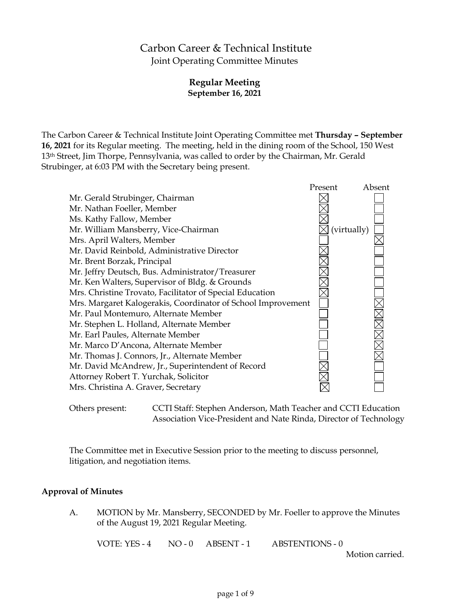# Carbon Career & Technical Institute Joint Operating Committee Minutes

# **Regular Meeting September 16, 2021**

The Carbon Career & Technical Institute Joint Operating Committee met **Thursday – September 16, 2021** for its Regular meeting. The meeting, held in the dining room of the School, 150 West 13th Street, Jim Thorpe, Pennsylvania, was called to order by the Chairman, Mr. Gerald Strubinger, at 6:03 PM with the Secretary being present.



Others present: CCTI Staff: Stephen Anderson, Math Teacher and CCTI Education Association Vice-President and Nate Rinda, Director of Technology

The Committee met in Executive Session prior to the meeting to discuss personnel, litigation, and negotiation items.

# **Approval of Minutes**

A. MOTION by Mr. Mansberry, SECONDED by Mr. Foeller to approve the Minutes of the August 19, 2021 Regular Meeting.

VOTE: YES - 4 NO - 0 ABSENT - 1 ABSTENTIONS - 0

Motion carried.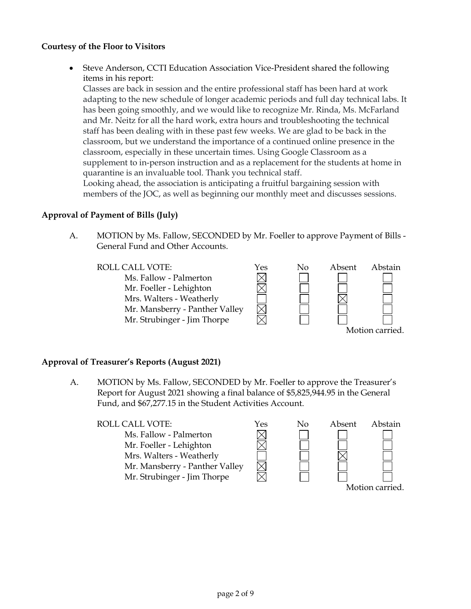# **Courtesy of the Floor to Visitors**

 Steve Anderson, CCTI Education Association Vice-President shared the following items in his report:

Classes are back in session and the entire professional staff has been hard at work adapting to the new schedule of longer academic periods and full day technical labs. It has been going smoothly, and we would like to recognize Mr. Rinda, Ms. McFarland and Mr. Neitz for all the hard work, extra hours and troubleshooting the technical staff has been dealing with in these past few weeks. We are glad to be back in the classroom, but we understand the importance of a continued online presence in the classroom, especially in these uncertain times. Using Google Classroom as a supplement to in-person instruction and as a replacement for the students at home in quarantine is an invaluable tool. Thank you technical staff.

Looking ahead, the association is anticipating a fruitful bargaining session with members of the JOC, as well as beginning our monthly meet and discusses sessions.

# **Approval of Payment of Bills (July)**

A. MOTION by Ms. Fallow, SECONDED by Mr. Foeller to approve Payment of Bills - General Fund and Other Accounts.

### ROLL CALL VOTE:  $\gamma$ es No Absent Abstain Ms. Fallow - Palmerton Mr. Foeller - Lehighton

Mrs. Walters - Weatherly Mr. Mansberry - Panther Valley





# **Approval of Treasurer's Reports (August 2021)**

A. MOTION by Ms. Fallow, SECONDED by Mr. Foeller to approve the Treasurer's Report for August 2021 showing a final balance of \$5,825,944.95 in the General Fund, and \$67,277.15 in the Student Activities Account.

#### ROLL CALL VOTE:  $Y$ es No Absent Abstain Ms. Fallow - Palmerton  $\bowtie$ Mr. Foeller - Lehighton Mrs. Walters - Weatherly Mr. Mansberry - Panther Valley Mr. Strubinger - Jim Thorpe Motion carried.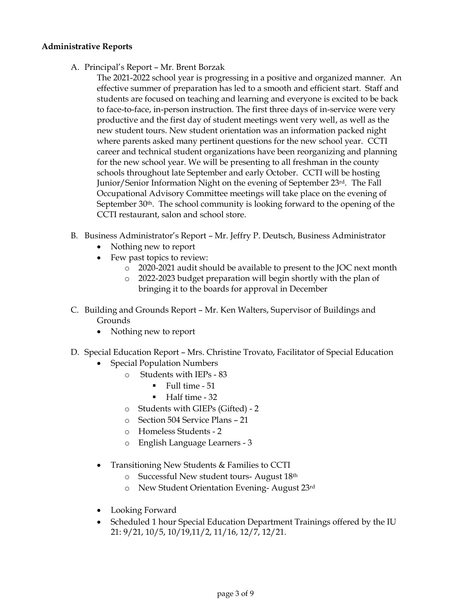# **Administrative Reports**

A. Principal's Report – Mr. Brent Borzak

The 2021-2022 school year is progressing in a positive and organized manner. An effective summer of preparation has led to a smooth and efficient start. Staff and students are focused on teaching and learning and everyone is excited to be back to face-to-face, in-person instruction. The first three days of in-service were very productive and the first day of student meetings went very well, as well as the new student tours. New student orientation was an information packed night where parents asked many pertinent questions for the new school year. CCTI career and technical student organizations have been reorganizing and planning for the new school year. We will be presenting to all freshman in the county schools throughout late September and early October. CCTI will be hosting Junior/Senior Information Night on the evening of September 23rd. The Fall Occupational Advisory Committee meetings will take place on the evening of September 30<sup>th</sup>. The school community is looking forward to the opening of the CCTI restaurant, salon and school store.

- B. Business Administrator's Report Mr. Jeffry P. Deutsch, Business Administrator
	- Nothing new to report
	- Few past topics to review:
		- o 2020-2021 audit should be available to present to the JOC next month
		- o 2022-2023 budget preparation will begin shortly with the plan of bringing it to the boards for approval in December
- C. Building and Grounds Report Mr. Ken Walters, Supervisor of Buildings and Grounds
	- Nothing new to report
- D. Special Education Report Mrs. Christine Trovato, Facilitator of Special Education
	- Special Population Numbers
		- o Students with IEPs 83
			- Full time 51
			- Half time 32
		- o Students with GIEPs (Gifted) 2
		- o Section 504 Service Plans 21
		- o Homeless Students 2
		- o English Language Learners 3
	- Transitioning New Students & Families to CCTI
		- o Successful New student tours- August 18th
		- o New Student Orientation Evening- August 23rd
	- Looking Forward
	- Scheduled 1 hour Special Education Department Trainings offered by the IU 21: 9/21, 10/5, 10/19,11/2, 11/16, 12/7, 12/21.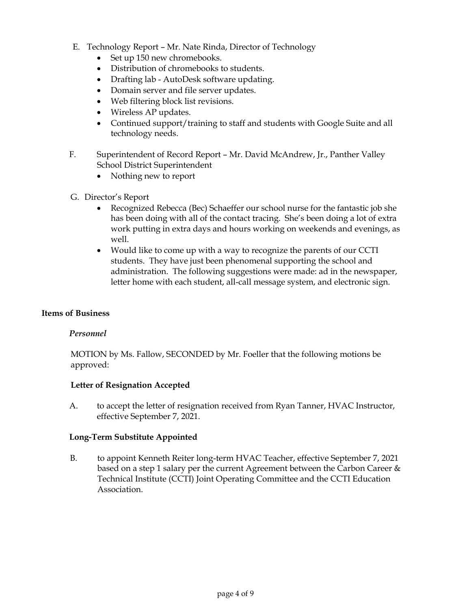- E. Technology Report Mr. Nate Rinda, Director of Technology
	- Set up 150 new chromebooks.
	- Distribution of chromebooks to students.
	- Drafting lab AutoDesk software updating.
	- Domain server and file server updates.
	- Web filtering block list revisions.
	- Wireless AP updates.
	- Continued support/training to staff and students with Google Suite and all technology needs.
- F. Superintendent of Record Report Mr. David McAndrew, Jr., Panther Valley School District Superintendent
	- Nothing new to report
- G. Director's Report
	- Recognized Rebecca (Bec) Schaeffer our school nurse for the fantastic job she has been doing with all of the contact tracing. She's been doing a lot of extra work putting in extra days and hours working on weekends and evenings, as well.
	- Would like to come up with a way to recognize the parents of our CCTI students. They have just been phenomenal supporting the school and administration. The following suggestions were made: ad in the newspaper, letter home with each student, all-call message system, and electronic sign.

# **Items of Business**

#### *Personnel*

MOTION by Ms. Fallow, SECONDED by Mr. Foeller that the following motions be approved:

# **Letter of Resignation Accepted**

A. to accept the letter of resignation received from Ryan Tanner, HVAC Instructor, effective September 7, 2021.

#### **Long-Term Substitute Appointed**

B. to appoint Kenneth Reiter long-term HVAC Teacher, effective September 7, 2021 based on a step 1 salary per the current Agreement between the Carbon Career & Technical Institute (CCTI) Joint Operating Committee and the CCTI Education Association.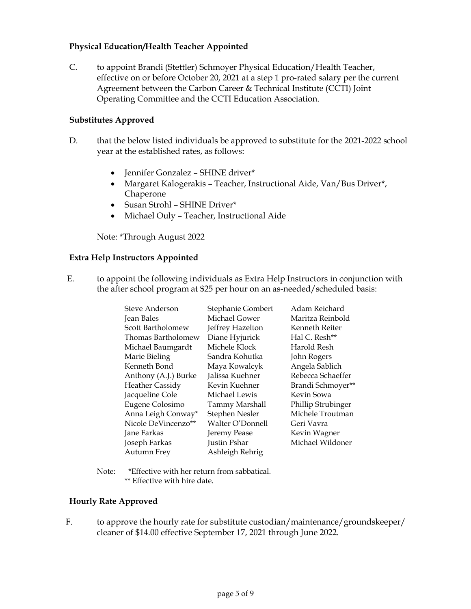# **Physical Education/Health Teacher Appointed**

C. to appoint Brandi (Stettler) Schmoyer Physical Education/Health Teacher, effective on or before October 20, 2021 at a step 1 pro-rated salary per the current Agreement between the Carbon Career & Technical Institute (CCTI) Joint Operating Committee and the CCTI Education Association.

### **Substitutes Approved**

- D. that the below listed individuals be approved to substitute for the 2021-2022 school year at the established rates, as follows:
	- Jennifer Gonzalez SHINE driver\*
	- Margaret Kalogerakis Teacher, Instructional Aide, Van/Bus Driver\*, Chaperone
	- Susan Strohl SHINE Driver\*
	- Michael Ouly Teacher, Instructional Aide

Note: \*Through August 2022

### **Extra Help Instructors Appointed**

E. to appoint the following individuals as Extra Help Instructors in conjunction with the after school program at \$25 per hour on an as-needed/scheduled basis:

| Steve Anderson         | Stephanie Gombert | Adam Reichard      |
|------------------------|-------------------|--------------------|
| Jean Bales             | Michael Gower     | Maritza Reinbold   |
| Scott Bartholomew      | Jeffrey Hazelton  | Kenneth Reiter     |
| Thomas Bartholomew     | Diane Hyjurick    | Hal C. Resh**      |
| Michael Baumgardt      | Michele Klock     | Harold Resh        |
| Marie Bieling          | Sandra Kohutka    | John Rogers        |
| Kenneth Bond           | Maya Kowalcyk     | Angela Sablich     |
| Anthony (A.J.) Burke   | Jalissa Kuehner   | Rebecca Schaeffer  |
| <b>Heather Cassidy</b> | Kevin Kuehner     | Brandi Schmoyer**  |
| Jacqueline Cole        | Michael Lewis     | Kevin Sowa         |
| Eugene Colosimo        | Tammy Marshall    | Phillip Strubinger |
| Anna Leigh Conway*     | Stephen Nesler    | Michele Troutman   |
| Nicole DeVincenzo**    | Walter O'Donnell  | Geri Vavra         |
| Jane Farkas            | Jeremy Pease      | Kevin Wagner       |
| Joseph Farkas          | Justin Pshar      | Michael Wildoner   |
| Autumn Frey            | Ashleigh Rehrig   |                    |
|                        |                   |                    |

Note: \*Effective with her return from sabbatical. \*\* Effective with hire date.

# **Hourly Rate Approved**

F. to approve the hourly rate for substitute custodian/maintenance/groundskeeper/ cleaner of \$14.00 effective September 17, 2021 through June 2022.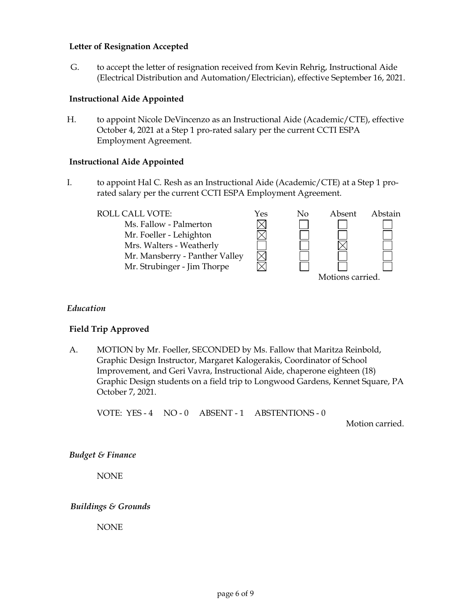### **Letter of Resignation Accepted**

G. to accept the letter of resignation received from Kevin Rehrig, Instructional Aide (Electrical Distribution and Automation/Electrician), effective September 16, 2021.

#### **Instructional Aide Appointed**

H. to appoint Nicole DeVincenzo as an Instructional Aide (Academic/CTE), effective October 4, 2021 at a Step 1 pro-rated salary per the current CCTI ESPA Employment Agreement.

#### **Instructional Aide Appointed**

I. to appoint Hal C. Resh as an Instructional Aide (Academic/CTE) at a Step 1 prorated salary per the current CCTI ESPA Employment Agreement.



#### *Education*

# **Field Trip Approved**

A. MOTION by Mr. Foeller, SECONDED by Ms. Fallow that Maritza Reinbold, Graphic Design Instructor, Margaret Kalogerakis, Coordinator of School Improvement, and Geri Vavra, Instructional Aide, chaperone eighteen (18) Graphic Design students on a field trip to Longwood Gardens, Kennet Square, PA October 7, 2021.

VOTE: YES - 4 NO - 0 ABSENT - 1 ABSTENTIONS - 0

Motion carried.

*Budget & Finance*

NONE

#### *Buildings & Grounds*

NONE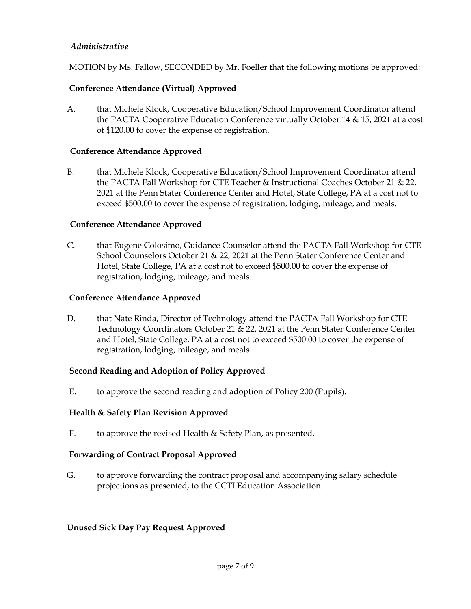# *Administrative*

MOTION by Ms. Fallow, SECONDED by Mr. Foeller that the following motions be approved:

# **Conference Attendance (Virtual) Approved**

A. that Michele Klock, Cooperative Education/School Improvement Coordinator attend the PACTA Cooperative Education Conference virtually October 14 & 15, 2021 at a cost of \$120.00 to cover the expense of registration.

# **Conference Attendance Approved**

B. that Michele Klock, Cooperative Education/School Improvement Coordinator attend the PACTA Fall Workshop for CTE Teacher & Instructional Coaches October 21 & 22, 2021 at the Penn Stater Conference Center and Hotel, State College, PA at a cost not to exceed \$500.00 to cover the expense of registration, lodging, mileage, and meals.

# **Conference Attendance Approved**

C. that Eugene Colosimo, Guidance Counselor attend the PACTA Fall Workshop for CTE School Counselors October 21 & 22, 2021 at the Penn Stater Conference Center and Hotel, State College, PA at a cost not to exceed \$500.00 to cover the expense of registration, lodging, mileage, and meals.

# **Conference Attendance Approved**

D. that Nate Rinda, Director of Technology attend the PACTA Fall Workshop for CTE Technology Coordinators October 21 & 22, 2021 at the Penn Stater Conference Center and Hotel, State College, PA at a cost not to exceed \$500.00 to cover the expense of registration, lodging, mileage, and meals.

# **Second Reading and Adoption of Policy Approved**

E. to approve the second reading and adoption of Policy 200 (Pupils).

# **Health & Safety Plan Revision Approved**

F. to approve the revised Health & Safety Plan, as presented.

# **Forwarding of Contract Proposal Approved**

G. to approve forwarding the contract proposal and accompanying salary schedule projections as presented, to the CCTI Education Association.

# **Unused Sick Day Pay Request Approved**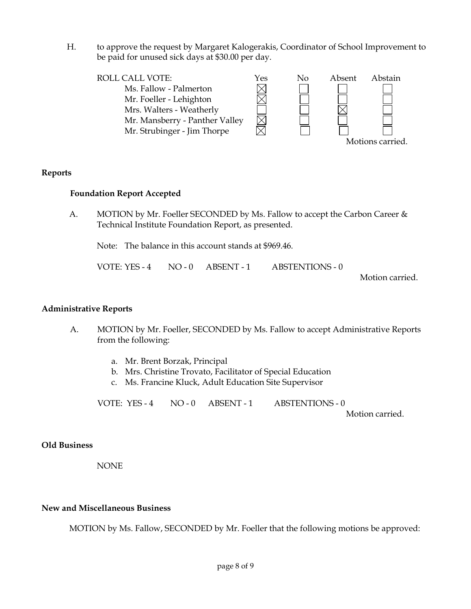H. to approve the request by Margaret Kalogerakis, Coordinator of School Improvement to be paid for unused sick days at \$30.00 per day.

| <b>ROLL CALL VOTE:</b>         | Yes | Nο | Absent | Abstain         |
|--------------------------------|-----|----|--------|-----------------|
| Ms. Fallow - Palmerton         |     |    |        |                 |
| Mr. Foeller - Lehighton        |     |    |        |                 |
| Mrs. Walters - Weatherly       |     |    |        |                 |
| Mr. Mansberry - Panther Valley |     |    |        |                 |
| Mr. Strubinger - Jim Thorpe    |     |    |        |                 |
|                                |     |    |        | Motions carried |

### **Reports**

### **Foundation Report Accepted**

A. MOTION by Mr. Foeller SECONDED by Ms. Fallow to accept the Carbon Career & Technical Institute Foundation Report, as presented.

Note: The balance in this account stands at \$969.46.

VOTE: YES - 4 NO - 0 ABSENT - 1 ABSTENTIONS - 0

Motion carried.

#### **Administrative Reports**

- A. MOTION by Mr. Foeller, SECONDED by Ms. Fallow to accept Administrative Reports from the following:
	- a. Mr. Brent Borzak, Principal
	- b. Mrs. Christine Trovato, Facilitator of Special Education
	- c. Ms. Francine Kluck, Adult Education Site Supervisor

VOTE: YES - 4 NO - 0 ABSENT - 1 ABSTENTIONS - 0

Motion carried.

#### **Old Business**

NONE

### **New and Miscellaneous Business**

MOTION by Ms. Fallow, SECONDED by Mr. Foeller that the following motions be approved: